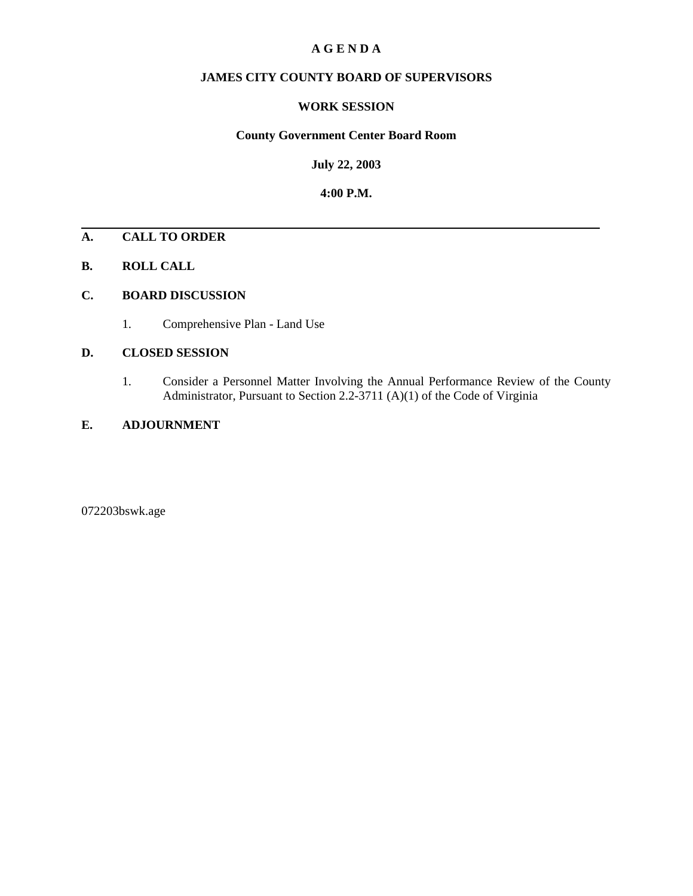### **A G E N D A**

### **JAMES CITY COUNTY BOARD OF SUPERVISORS**

### **WORK SESSION**

#### **County Government Center Board Room**

**July 22, 2003**

**4:00 P.M.**

### **A. CALL TO ORDER**

**B. ROLL CALL**

#### **C. BOARD DISCUSSION**

1. Comprehensive Plan - Land Use

#### **D. CLOSED SESSION**

1. Consider a Personnel Matter Involving the Annual Performance Review of the County Administrator, Pursuant to Section 2.2-3711 (A)(1) of the Code of Virginia

### **E. ADJOURNMENT**

072203bswk.age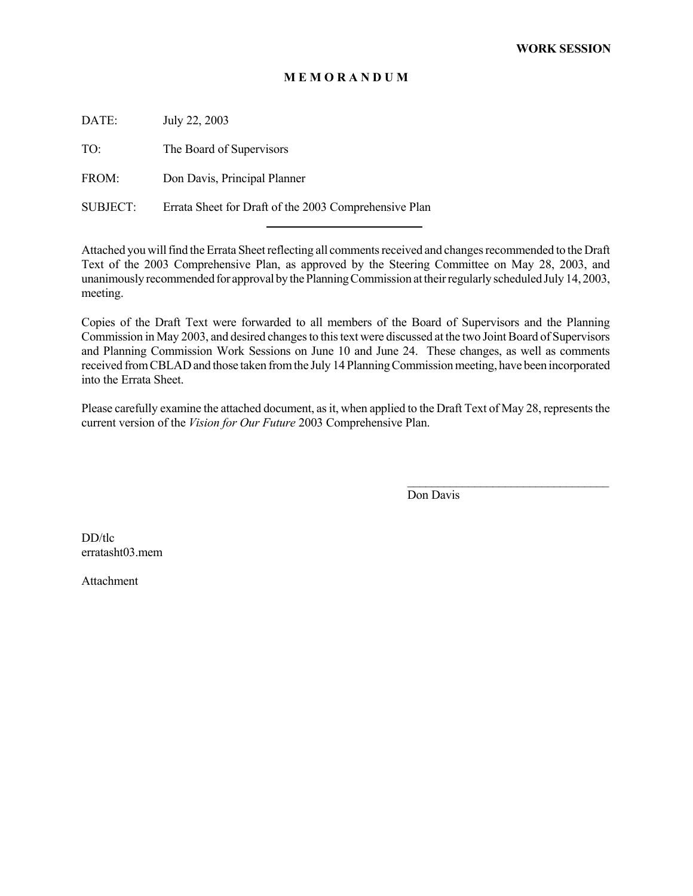### **M E M O R A N D U M**

DATE: July 22, 2003

TO: The Board of Supervisors

FROM: Don Davis, Principal Planner

SUBJECT: Errata Sheet for Draft of the 2003 Comprehensive Plan

l

Attached you will find the Errata Sheet reflecting all comments received and changes recommended to the Draft Text of the 2003 Comprehensive Plan, as approved by the Steering Committee on May 28, 2003, and unanimously recommended for approval by the Planning Commission at their regularly scheduled July 14, 2003, meeting.

Copies of the Draft Text were forwarded to all members of the Board of Supervisors and the Planning Commission in May 2003, and desired changes to this text were discussed at the two Joint Board of Supervisors and Planning Commission Work Sessions on June 10 and June 24. These changes, as well as comments received from CBLAD and those taken from the July 14 Planning Commission meeting, have been incorporated into the Errata Sheet.

Please carefully examine the attached document, as it, when applied to the Draft Text of May 28, represents the current version of the *Vision for Our Future* 2003 Comprehensive Plan.

Don Davis

 $\mathcal{L}_\text{max}$ 

DD/tlc erratasht03.mem

Attachment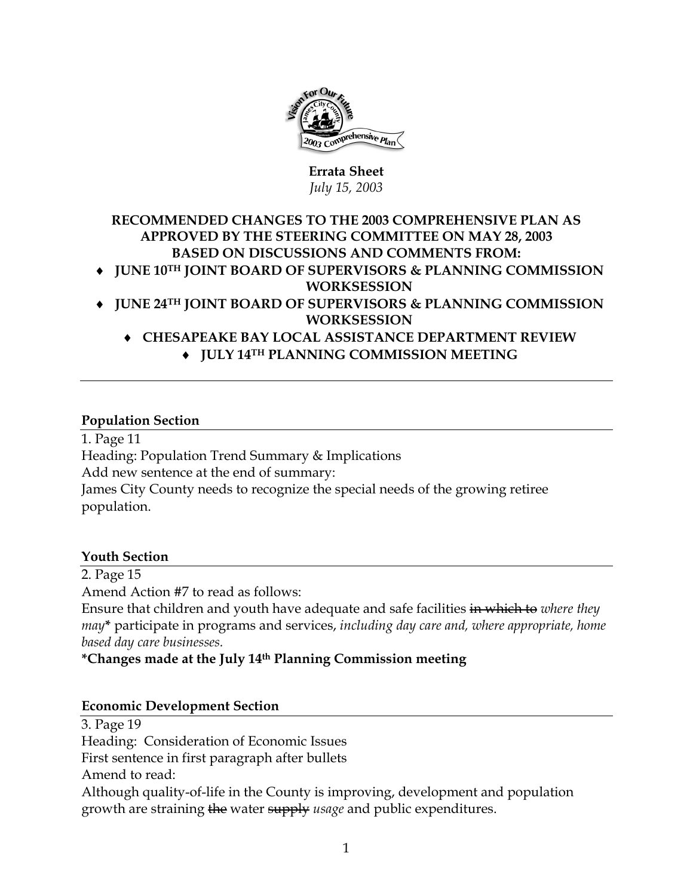

### **Errata Sheet**  *July 15, 2003*

## **RECOMMENDED CHANGES TO THE 2003 COMPREHENSIVE PLAN AS APPROVED BY THE STEERING COMMITTEE ON MAY 28, 2003 BASED ON DISCUSSIONS AND COMMENTS FROM:**  ♦ **JUNE 10TH JOINT BOARD OF SUPERVISORS & PLANNING COMMISSION**

- **WORKSESSION**  ♦ **JUNE 24TH JOINT BOARD OF SUPERVISORS & PLANNING COMMISSION WORKSESSION** 
	- ♦ **CHESAPEAKE BAY LOCAL ASSISTANCE DEPARTMENT REVIEW**  ♦ **JULY 14TH PLANNING COMMISSION MEETING**

## **Population Section**

1. Page 11 Heading: Population Trend Summary & Implications Add new sentence at the end of summary: James City County needs to recognize the special needs of the growing retiree population.

## **Youth Section**

2. Page 15 Amend Action #7 to read as follows: Ensure that children and youth have adequate and safe facilities in which to *where they may***\*** participate in programs and services, *including day care and, where appropriate, home based day care businesses.* 

## **\*Changes made at the July 14th Planning Commission meeting**

## **Economic Development Section**

3. Page 19 Heading: Consideration of Economic Issues First sentence in first paragraph after bullets Amend to read: Although quality-of-life in the County is improving, development and population growth are straining the water supply *usage* and public expenditures.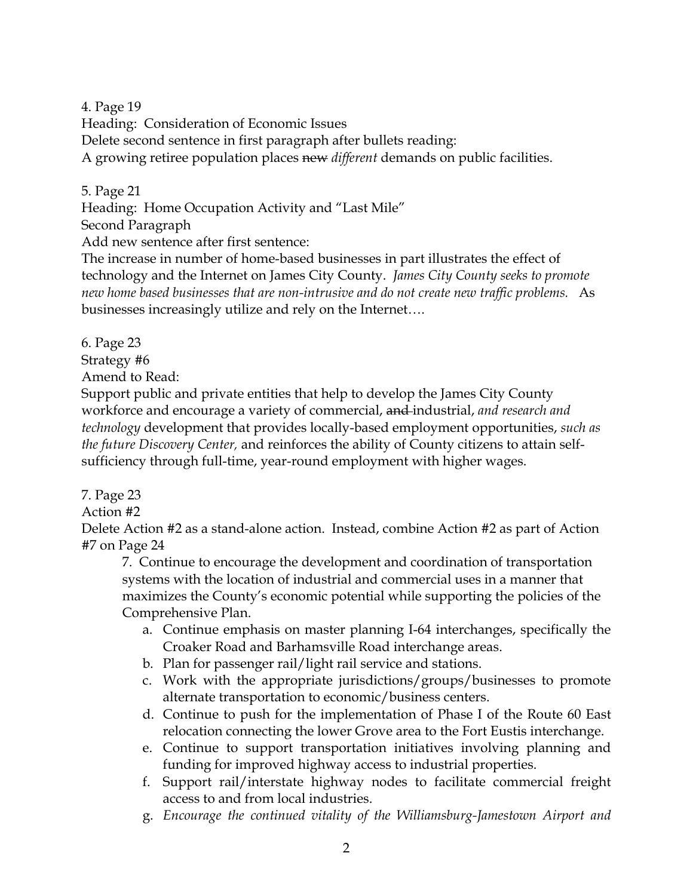4. Page 19

Heading: Consideration of Economic Issues

Delete second sentence in first paragraph after bullets reading:

A growing retiree population places new *different* demands on public facilities.

5. Page 21

Heading: Home Occupation Activity and "Last Mile"

Second Paragraph

Add new sentence after first sentence:

The increase in number of home-based businesses in part illustrates the effect of technology and the Internet on James City County. *James City County seeks to promote new home based businesses that are non-intrusive and do not create new traffic problems.* As businesses increasingly utilize and rely on the Internet….

6. Page 23

Strategy #6

Amend to Read:

Support public and private entities that help to develop the James City County workforce and encourage a variety of commercial, and industrial, *and research and technology* development that provides locally-based employment opportunities, *such as the future Discovery Center,* and reinforces the ability of County citizens to attain selfsufficiency through full-time, year-round employment with higher wages.

7. Page 23

Action #2

Delete Action #2 as a stand-alone action. Instead, combine Action #2 as part of Action #7 on Page 24

7. Continue to encourage the development and coordination of transportation systems with the location of industrial and commercial uses in a manner that maximizes the County's economic potential while supporting the policies of the Comprehensive Plan.

- a. Continue emphasis on master planning I-64 interchanges, specifically the Croaker Road and Barhamsville Road interchange areas.
- b. Plan for passenger rail/light rail service and stations.
- c. Work with the appropriate jurisdictions/groups/businesses to promote alternate transportation to economic/business centers.
- d. Continue to push for the implementation of Phase I of the Route 60 East relocation connecting the lower Grove area to the Fort Eustis interchange.
- e. Continue to support transportation initiatives involving planning and funding for improved highway access to industrial properties.
- f. Support rail/interstate highway nodes to facilitate commercial freight access to and from local industries.
- g. *Encourage the continued vitality of the Williamsburg-Jamestown Airport and*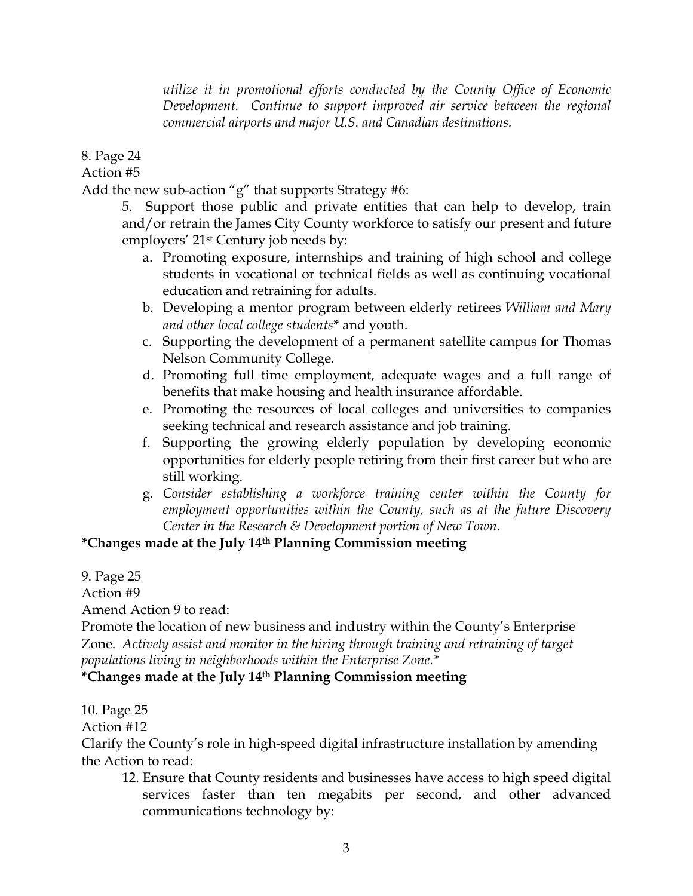*utilize it in promotional efforts conducted by the County Office of Economic Development. Continue to support improved air service between the regional commercial airports and major U.S. and Canadian destinations.*

8. Page 24

Action #5

Add the new sub-action "g" that supports Strategy #6:

5. Support those public and private entities that can help to develop, train and/or retrain the James City County workforce to satisfy our present and future employers' 21st Century job needs by:

- a. Promoting exposure, internships and training of high school and college students in vocational or technical fields as well as continuing vocational education and retraining for adults.
- b. Developing a mentor program between elderly retirees *William and Mary and other local college students***\*** and youth.
- c. Supporting the development of a permanent satellite campus for Thomas Nelson Community College.
- d. Promoting full time employment, adequate wages and a full range of benefits that make housing and health insurance affordable.
- e. Promoting the resources of local colleges and universities to companies seeking technical and research assistance and job training.
- f. Supporting the growing elderly population by developing economic opportunities for elderly people retiring from their first career but who are still working.
- g. *Consider establishing a workforce training center within the County for employment opportunities within the County, such as at the future Discovery Center in the Research & Development portion of New Town.*

# **\*Changes made at the July 14th Planning Commission meeting**

9. Page 25

Action #9

Amend Action 9 to read:

Promote the location of new business and industry within the County's Enterprise Zone. *Actively assist and monitor in the hiring through training and retraining of target populations living in neighborhoods within the Enterprise Zone.\** 

## **\*Changes made at the July 14th Planning Commission meeting**

10. Page 25

Action #12

Clarify the County's role in high-speed digital infrastructure installation by amending the Action to read:

12. Ensure that County residents and businesses have access to high speed digital services faster than ten megabits per second, and other advanced communications technology by: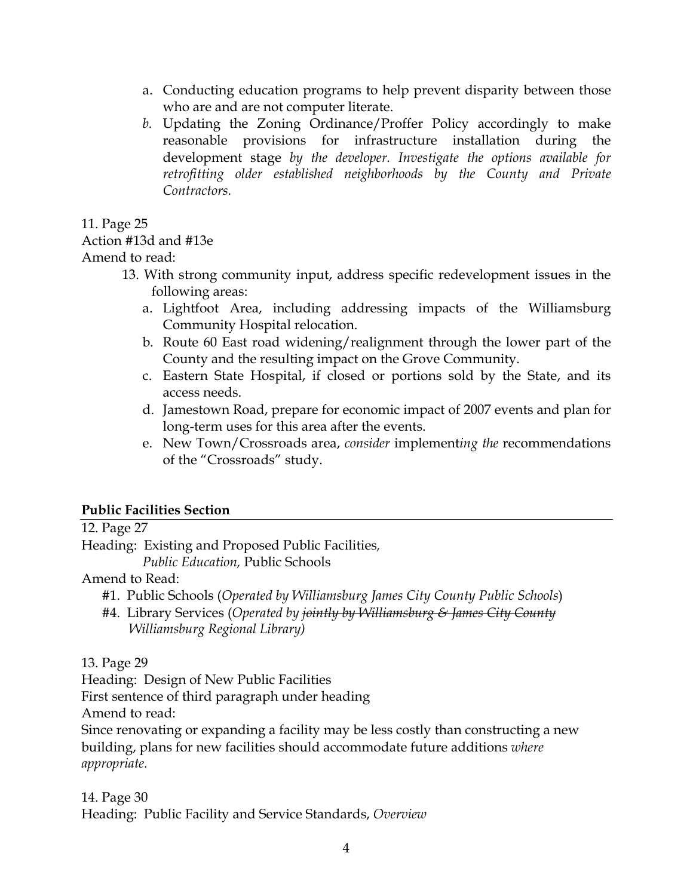- a. Conducting education programs to help prevent disparity between those who are and are not computer literate.
- *b.* Updating the Zoning Ordinance/Proffer Policy accordingly to make reasonable provisions for infrastructure installation during the development stage *by the developer. Investigate the options available for retrofitting older established neighborhoods by the County and Private Contractors.*

11. Page 25

## Action #13d and #13e

Amend to read:

- 13. With strong community input, address specific redevelopment issues in the following areas:
	- a. Lightfoot Area, including addressing impacts of the Williamsburg Community Hospital relocation.
	- b. Route 60 East road widening/realignment through the lower part of the County and the resulting impact on the Grove Community.
	- c. Eastern State Hospital, if closed or portions sold by the State, and its access needs.
	- d. Jamestown Road, prepare for economic impact of 2007 events and plan for long-term uses for this area after the events.
	- e. New Town/Crossroads area, *consider* implement*ing the* recommendations of the "Crossroads" study.

## **Public Facilities Section**

12. Page 27

Heading: Existing and Proposed Public Facilities*,* 

 *Public Education,* Public Schools

Amend to Read:

#1. Public Schools (*Operated by Williamsburg James City County Public Schools*)

#4. Library Services (*Operated by jointly by Williamsburg & James City County Williamsburg Regional Library)*

13. Page 29

Heading: Design of New Public Facilities

First sentence of third paragraph under heading

Amend to read:

Since renovating or expanding a facility may be less costly than constructing a new building, plans for new facilities should accommodate future additions *where appropriate.*

14. Page 30 Heading: Public Facility and Service Standards, *Overview*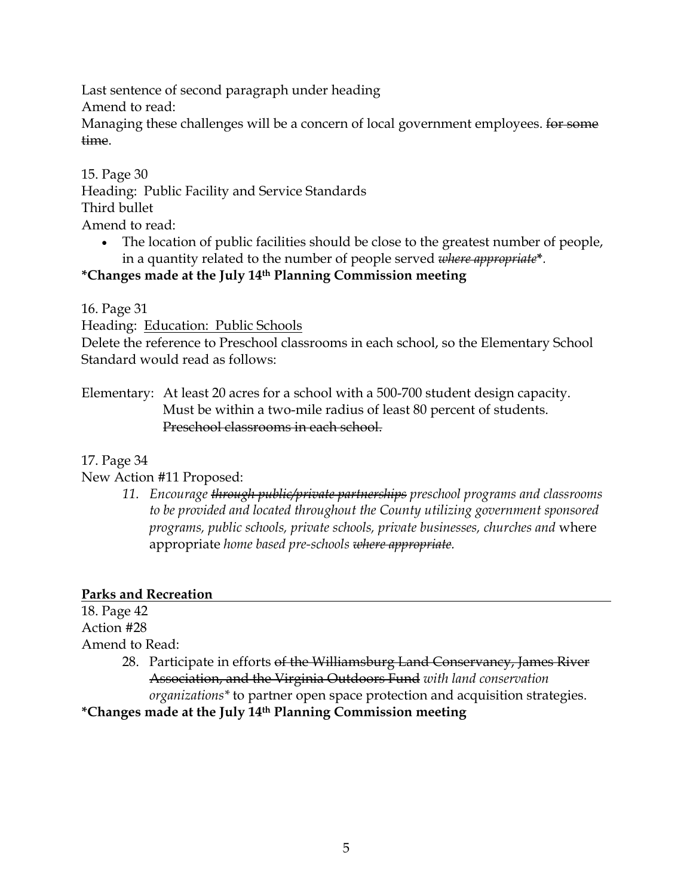Last sentence of second paragraph under heading

Amend to read:

Managing these challenges will be a concern of local government employees. for some time.

15. Page 30 Heading: Public Facility and Service Standards Third bullet Amend to read:

• The location of public facilities should be close to the greatest number of people, in a quantity related to the number of people served *where appropriate***\****.*

# **\*Changes made at the July 14th Planning Commission meeting**

16. Page 31

Heading: Education: Public Schools

Delete the reference to Preschool classrooms in each school, so the Elementary School Standard would read as follows:

Elementary: At least 20 acres for a school with a 500-700 student design capacity. Must be within a two-mile radius of least 80 percent of students. Preschool classrooms in each school.

17. Page 34

New Action #11 Proposed:

*11. Encourage through public/private partnerships preschool programs and classrooms to be provided and located throughout the County utilizing government sponsored programs, public schools, private schools, private businesses, churches and* where appropriate *home based pre-schools where appropriate.* 

# **Parks and Recreation**

18. Page 42 Action #28 Amend to Read: 28. Participate in efforts of the Williamsburg Land Conservancy, James River Association, and the Virginia Outdoors Fund *with land conservation* 

*organizations\** to partner open space protection and acquisition strategies.

# **\*Changes made at the July 14th Planning Commission meeting**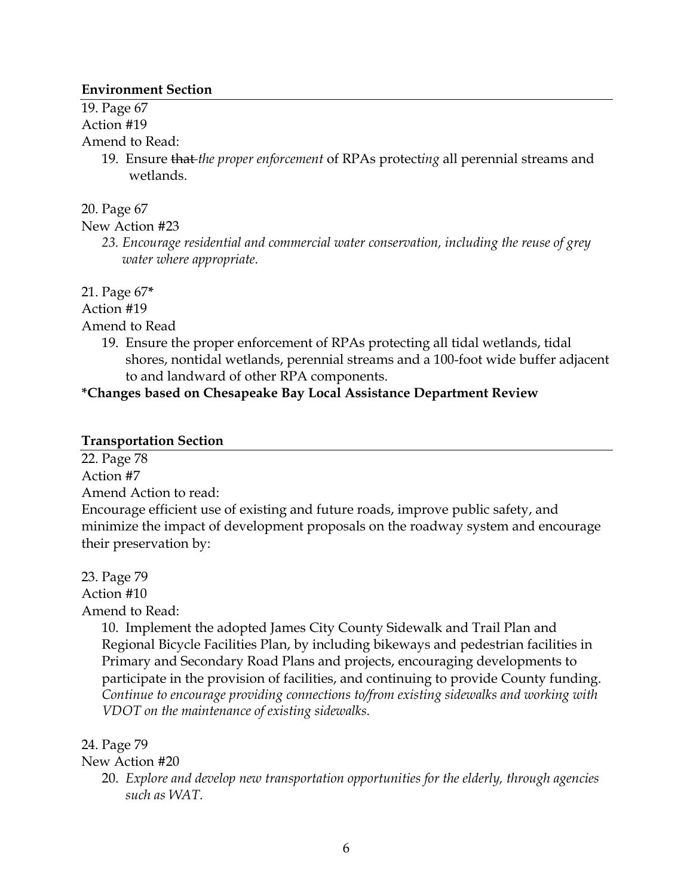### **Environment Section**

19. Page 67 Action #19

Amend to Read:

- 19. Ensure that *the proper enforcement* of RPAs protect*ing* all perennial streams and
	- wetlands.

20. Page 67

New Action #23

*23. Encourage residential and commercial water conservation, including the reuse of grey water where appropriate.* 

21. Page 67**\*** 

Action #19

Amend to Read

19. Ensure the proper enforcement of RPAs protecting all tidal wetlands, tidal shores, nontidal wetlands, perennial streams and a 100-foot wide buffer adjacent to and landward of other RPA components.

## **\*Changes based on Chesapeake Bay Local Assistance Department Review**

### **Transportation Section**

22. Page 78 Action #7 Amend Action to read: Encourage efficient use of existing and future roads, improve public safety, and minimize the impact of development proposals on the roadway system and encourage their preservation by:

23. Page 79 Action #10

Amend to Read:

10. Implement the adopted James City County Sidewalk and Trail Plan and Regional Bicycle Facilities Plan, by including bikeways and pedestrian facilities in Primary and Secondary Road Plans and projects, encouraging developments to participate in the provision of facilities, and continuing to provide County funding. *Continue to encourage providing connections to/from existing sidewalks and working with VDOT on the maintenance of existing sidewalks.* 

## 24. Page 79

New Action #20

20. *Explore and develop new transportation opportunities for the elderly, through agencies such as WAT.*